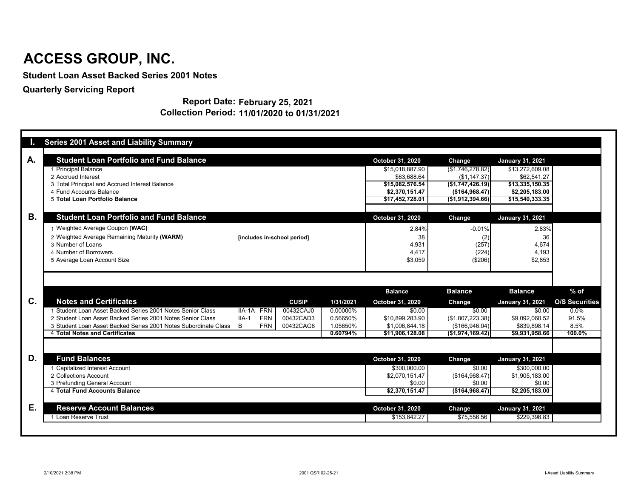|           | <b>Series 2001 Asset and Liability Summary</b>                  |                             |              |           |                                         |                                    |                                               |                       |
|-----------|-----------------------------------------------------------------|-----------------------------|--------------|-----------|-----------------------------------------|------------------------------------|-----------------------------------------------|-----------------------|
| A.        | <b>Student Loan Portfolio and Fund Balance</b>                  |                             |              |           | <b>October 31, 2020</b>                 | <b>Change</b>                      | <b>January 31, 2021</b>                       |                       |
|           | 1 Principal Balance                                             |                             |              |           | \$15,018,887.90                         | (\$1,746,278.82)                   | \$13,272,609.08                               |                       |
|           | 2 Accrued Interest                                              |                             |              |           | \$63,688.64                             | (\$1,147.37)                       | \$62,541.27                                   |                       |
|           | 3 Total Principal and Accrued Interest Balance                  |                             |              |           | \$15,082,576.54                         | (\$1,747,426.19)                   | \$13,335,150.35                               |                       |
|           | 4 Fund Accounts Balance<br>5 Total Loan Portfolio Balance       |                             |              |           | \$2,370,151.47                          | (\$164,968.47)<br>(\$1,912,394.66) | \$2,205,183.00<br>$\overline{$15,540,333.35}$ |                       |
|           |                                                                 |                             |              |           | \$17,452,728.01                         |                                    |                                               |                       |
| <b>B.</b> | <b>Student Loan Portfolio and Fund Balance</b>                  |                             |              |           | <b>October 31, 2020</b>                 | <b>Change</b>                      | <b>January 31, 2021</b>                       |                       |
|           | 1 Weighted Average Coupon (WAC)                                 |                             |              |           | 2.84%                                   | $-0.01%$                           | 2.83%                                         |                       |
|           | 2 Weighted Average Remaining Maturity (WARM)                    | [includes in-school period] |              |           | 38                                      | (2)                                | 36                                            |                       |
|           | 3 Number of Loans                                               |                             |              |           | 4,931                                   | (257)                              | 4,674                                         |                       |
|           | 4 Number of Borrowers                                           |                             |              |           | 4,417                                   | (224)                              | 4,193                                         |                       |
|           | 5 Average Loan Account Size                                     |                             |              |           | \$3,059                                 | (\$206)                            | \$2,853                                       |                       |
|           |                                                                 |                             |              |           |                                         |                                    |                                               |                       |
|           |                                                                 |                             |              |           |                                         |                                    |                                               |                       |
|           |                                                                 |                             |              |           | <b>Balance</b>                          | <b>Balance</b>                     | <b>Balance</b>                                | $%$ of                |
| C.        | <b>Notes and Certificates</b>                                   |                             | <b>CUSIP</b> | 1/31/2021 | <b>October 31, 2020</b>                 | Change                             | <b>January 31, 2021</b>                       | <b>O/S Securities</b> |
|           | 1 Student Loan Asset Backed Series 2001 Notes Senior Class      | IIA-1A FRN                  | 00432CAJ0    | 0.00000%  | \$0.00                                  | \$0.00                             | \$0.00                                        | $0.0\%$               |
|           | 2 Student Loan Asset Backed Series 2001 Notes Senior Class      | <b>FRN</b><br>$IIA-1$       | 00432CAD3    | 0.56650%  | \$10,899,283.90                         | (\$1,807,223.38)                   | \$9,092,060.52                                | 91.5%                 |
|           | 3 Student Loan Asset Backed Series 2001 Notes Subordinate Class | <b>FRN</b><br>B             | 00432CAG6    | 1.05650%  |                                         |                                    |                                               |                       |
|           |                                                                 |                             |              |           | \$1,006,844.18                          | (\$166,946.04)                     | \$839,898.14                                  | 8.5%                  |
|           | 4 Total Notes and Certificates                                  |                             |              | 0.60794%  | \$11,906,128.08                         | (\$1,974,169.42)]                  | \$9,931,958.66                                | 100.0%                |
|           |                                                                 |                             |              |           |                                         |                                    |                                               |                       |
|           | <b>Fund Balances</b>                                            |                             |              |           | <b>October 31, 2020</b>                 | <b>Change</b>                      | <b>January 31, 2021</b>                       |                       |
|           | 1 Capitalized Interest Account                                  |                             |              |           | \$300,000.00                            | \$0.00                             | \$300,000.00                                  |                       |
|           | 2 Collections Account                                           |                             |              |           | \$2,070,151.47                          | (\$164,968.47)                     | \$1,905,183.00                                |                       |
|           | 3 Prefunding General Account                                    |                             |              |           | \$0.00                                  | \$0.00                             | \$0.00                                        |                       |
|           | 4 Total Fund Accounts Balance                                   |                             |              |           | \$2,370,151.47                          | (\$164,968.47)                     | \$2,205,183.00                                |                       |
|           |                                                                 |                             |              |           |                                         |                                    |                                               |                       |
| D.<br>Ε.  | <b>Reserve Account Balances</b><br>1 Loan Reserve Trust         |                             |              |           | <b>October 31, 2020</b><br>\$153,842.27 | <b>Change</b><br>\$75,556.56       | <b>January 31, 2021</b><br>\$229,398.83       |                       |

#### **Report Date: February 25, 2021 Collection Period: 11/01/2020 to 01/31/2021**

# **ACCESS GROUP, INC.**

**Student Loan Asset Backed Series 2001 Notes**

**Quarterly Servicing Report**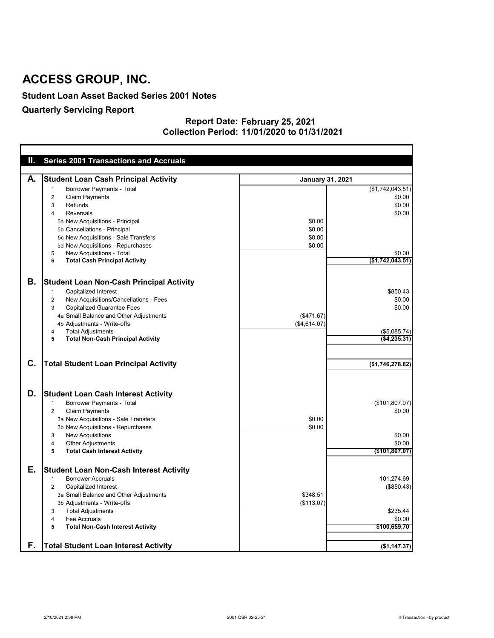#### **Student Loan Asset Backed Series 2001 Notes**

## **Quarterly Servicing Report**

#### **February 25, 2021 11/01/2020 to 01/31/2021 Report Date: Collection Period:**

| Ш. | <b>Series 2001 Transactions and Accruals</b>                                                                                                                           |                         |                          |
|----|------------------------------------------------------------------------------------------------------------------------------------------------------------------------|-------------------------|--------------------------|
|    |                                                                                                                                                                        |                         |                          |
| А. | <b>Student Loan Cash Principal Activity</b>                                                                                                                            | <b>January 31, 2021</b> |                          |
|    | <b>Borrower Payments - Total</b><br>-1                                                                                                                                 |                         | (\$1,742,043.51)         |
|    | <b>Claim Payments</b><br>2                                                                                                                                             |                         | \$0.00                   |
|    | Refunds<br>3                                                                                                                                                           |                         | \$0.00                   |
|    | <b>Reversals</b><br>4                                                                                                                                                  |                         | \$0.00                   |
|    | 5a New Acquisitions - Principal                                                                                                                                        | \$0.00                  |                          |
|    | 5b Cancellations - Principal                                                                                                                                           | \$0.00                  |                          |
|    | 5c New Acquisitions - Sale Transfers                                                                                                                                   | \$0.00                  |                          |
|    | 5d New Acquisitions - Repurchases                                                                                                                                      | \$0.00                  |                          |
|    | New Acquisitions - Total<br>5                                                                                                                                          |                         | \$0.00                   |
|    | <b>Total Cash Principal Activity</b><br>6                                                                                                                              |                         | (\$1,742,043.51)         |
|    |                                                                                                                                                                        |                         |                          |
| Β. | <b>Student Loan Non-Cash Principal Activity</b>                                                                                                                        |                         |                          |
|    | <b>Capitalized Interest</b><br>1                                                                                                                                       |                         | \$850.43                 |
|    | New Acquisitions/Cancellations - Fees<br>$\overline{c}$                                                                                                                |                         | \$0.00                   |
|    | <b>Capitalized Guarantee Fees</b><br>3                                                                                                                                 |                         | \$0.00                   |
|    | 4a Small Balance and Other Adjustments                                                                                                                                 | (\$471.67)              |                          |
|    | 4b Adjustments - Write-offs                                                                                                                                            | (\$4,614.07)            |                          |
|    | <b>Total Adjustments</b><br>4                                                                                                                                          |                         | $($ \$5,085.74) $ $      |
|    | <b>Total Non-Cash Principal Activity</b><br>$5\phantom{.0}$                                                                                                            |                         | ( \$4, 235.31)           |
| C. | <b>Total Student Loan Principal Activity</b>                                                                                                                           |                         | (\$1,746,278.82)         |
| D. | <b>Student Loan Cash Interest Activity</b><br><b>Borrower Payments - Total</b><br>1<br><b>Claim Payments</b><br>$\overline{2}$<br>3a New Acquisitions - Sale Transfers | \$0.00                  | (\$101,807.07)<br>\$0.00 |
|    | 3b New Acquisitions - Repurchases                                                                                                                                      | \$0.00                  |                          |
|    | <b>New Acquisitions</b><br>3                                                                                                                                           |                         | \$0.00                   |
|    | <b>Other Adjustments</b><br>4                                                                                                                                          |                         | \$0.00                   |
|    | <b>Total Cash Interest Activity</b><br>5                                                                                                                               |                         | (\$101,807.07)           |
|    |                                                                                                                                                                        |                         |                          |
| Е. | <b>Student Loan Non-Cash Interest Activity</b>                                                                                                                         |                         |                          |
|    | <b>Borrower Accruals</b><br>-1                                                                                                                                         |                         | 101,274.69               |
|    | <b>Capitalized Interest</b><br>$\overline{2}$                                                                                                                          |                         | (\$850.43)               |
|    | 3a Small Balance and Other Adjustments                                                                                                                                 | \$348.51                |                          |
|    | 3b Adjustments - Write-offs                                                                                                                                            | (\$113.07)              |                          |
|    | <b>Total Adjustments</b><br>3                                                                                                                                          |                         | \$235.44                 |
|    | Fee Accruals<br>4                                                                                                                                                      |                         | \$0.00                   |
|    | <b>Total Non-Cash Interest Activity</b><br>5                                                                                                                           |                         | \$100,659.70             |
| F. |                                                                                                                                                                        |                         |                          |
|    | <b>Total Student Loan Interest Activity</b>                                                                                                                            |                         | (\$1,147.37)             |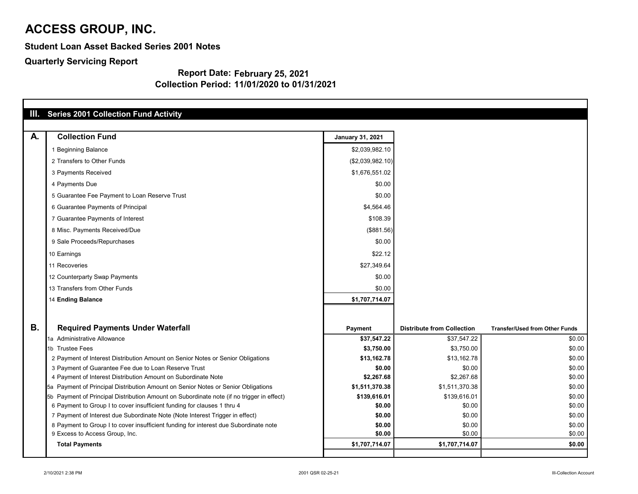**Student Loan Asset Backed Series 2001 Notes**

**Quarterly Servicing Report**

|           | III. Series 2001 Collection Fund Activity                                                 |                           |                                   |                                       |
|-----------|-------------------------------------------------------------------------------------------|---------------------------|-----------------------------------|---------------------------------------|
| A.        | <b>Collection Fund</b>                                                                    | <b>January 31, 2021</b>   |                                   |                                       |
|           | 1 Beginning Balance                                                                       | \$2,039,982.10            |                                   |                                       |
|           | 2 Transfers to Other Funds                                                                | (\$2,039,982.10)          |                                   |                                       |
|           | 3 Payments Received                                                                       | \$1,676,551.02            |                                   |                                       |
|           | 4 Payments Due                                                                            | \$0.00                    |                                   |                                       |
|           | 5 Guarantee Fee Payment to Loan Reserve Trust                                             | \$0.00                    |                                   |                                       |
|           | 6 Guarantee Payments of Principal                                                         | \$4,564.46                |                                   |                                       |
|           | 7 Guarantee Payments of Interest                                                          | \$108.39                  |                                   |                                       |
|           | 8 Misc. Payments Received/Due                                                             | (\$881.56)                |                                   |                                       |
|           | 9 Sale Proceeds/Repurchases                                                               | \$0.00                    |                                   |                                       |
|           | 10 Earnings                                                                               | \$22.12                   |                                   |                                       |
|           | 11 Recoveries                                                                             | \$27,349.64               |                                   |                                       |
|           | 12 Counterparty Swap Payments                                                             | \$0.00                    |                                   |                                       |
|           | 13 Transfers from Other Funds                                                             | \$0.00                    |                                   |                                       |
|           | 14 Ending Balance                                                                         | \$1,707,714.07            |                                   |                                       |
|           |                                                                                           |                           |                                   |                                       |
| <b>B.</b> |                                                                                           |                           |                                   |                                       |
|           | <b>Required Payments Under Waterfall</b>                                                  | <b>Payment</b>            | <b>Distribute from Collection</b> | <b>Transfer/Used from Other Funds</b> |
|           | 1a Administrative Allowance<br>1b Trustee Fees                                            | \$37,547.22<br>\$3,750.00 | \$37,547.22<br>\$3,750.00         | \$0.00<br>\$0.00                      |
|           | 2 Payment of Interest Distribution Amount on Senior Notes or Senior Obligations           | \$13,162.78               | \$13,162.78                       | \$0.00                                |
|           | 3 Payment of Guarantee Fee due to Loan Reserve Trust                                      | \$0.00                    | \$0.00                            | \$0.00                                |
|           | 4 Payment of Interest Distribution Amount on Subordinate Note                             | \$2,267.68                | \$2,267.68                        | \$0.00                                |
|           | 5a Payment of Principal Distribution Amount on Senior Notes or Senior Obligations         | \$1,511,370.38            | \$1,511,370.38                    | \$0.00                                |
|           | 5b Payment of Principal Distribution Amount on Subordinate note (if no trigger in effect) | \$139,616.01              | \$139,616.01                      | \$0.00                                |
|           | 6 Payment to Group I to cover insufficient funding for clauses 1 thru 4                   | \$0.00                    | \$0.00                            | \$0.00                                |
|           | 7 Payment of Interest due Subordinate Note (Note Interest Trigger in effect)              | \$0.00                    | \$0.00                            | \$0.00                                |
|           | 8 Payment to Group I to cover insufficient funding for interest due Subordinate note      | \$0.00                    | \$0.00                            | \$0.00                                |
|           | 9 Excess to Access Group, Inc.                                                            | \$0.00                    | \$0.00                            | \$0.00                                |
|           | <b>Total Payments</b>                                                                     | \$1,707,714.07            | \$1,707,714.07                    | \$0.00                                |
|           |                                                                                           |                           |                                   |                                       |

| nsfer/Used from Other Funds |                  |
|-----------------------------|------------------|
|                             | \$0.00           |
|                             | \$0.00           |
|                             | \$0.00           |
|                             | \$0.00           |
|                             | \$0.00           |
|                             | \$0.00           |
|                             | \$0.00           |
|                             | \$0.00           |
|                             | \$0.00           |
|                             | \$0.00<br>\$0.00 |
|                             | \$0.00           |
|                             |                  |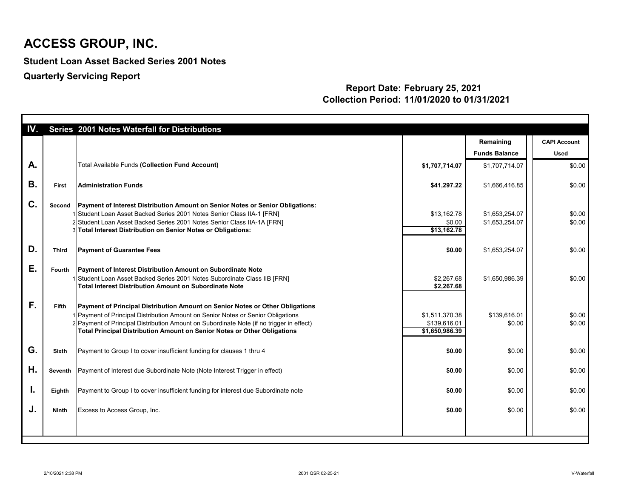**Student Loan Asset Backed Series 2001 Notes**

**Quarterly Servicing Report**

| IV.       |               | Series 2001 Notes Waterfall for Distributions                                                                                                                                                                                                                                                                                                    |                                                  |                                   |                                    |
|-----------|---------------|--------------------------------------------------------------------------------------------------------------------------------------------------------------------------------------------------------------------------------------------------------------------------------------------------------------------------------------------------|--------------------------------------------------|-----------------------------------|------------------------------------|
|           |               |                                                                                                                                                                                                                                                                                                                                                  |                                                  | Remaining<br><b>Funds Balance</b> | <b>CAPI Account</b><br><b>Used</b> |
| A.        |               | <b>Total Available Funds (Collection Fund Account)</b>                                                                                                                                                                                                                                                                                           | \$1,707,714.07                                   | \$1,707,714.07                    | \$0.00                             |
| <b>B.</b> | <b>First</b>  | <b>Administration Funds</b>                                                                                                                                                                                                                                                                                                                      | \$41,297.22                                      | \$1,666,416.85                    | \$0.00                             |
| C.        | Second        | Payment of Interest Distribution Amount on Senior Notes or Senior Obligations:<br>1 Student Loan Asset Backed Series 2001 Notes Senior Class IIA-1 [FRN]<br>2 Student Loan Asset Backed Series 2001 Notes Senior Class IIA-1A [FRN]<br>3 Total Interest Distribution on Senior Notes or Obligations:                                             | \$13,162.78<br>\$0.00<br>\$13,162.78             | \$1,653,254.07<br>\$1,653,254.07  | \$0.00<br>\$0.00                   |
| D.        | <b>Third</b>  | <b>Payment of Guarantee Fees</b>                                                                                                                                                                                                                                                                                                                 | \$0.00                                           | \$1,653,254.07                    | \$0.00                             |
| Ε.        | <b>Fourth</b> | <b>Payment of Interest Distribution Amount on Subordinate Note</b><br>1 Student Loan Asset Backed Series 2001 Notes Subordinate Class IIB [FRN]<br>Total Interest Distribution Amount on Subordinate Note                                                                                                                                        | \$2,267.68<br>\$2,267.68                         | \$1,650,986.39                    | \$0.00                             |
| F.        | <b>Fifth</b>  | <b>Payment of Principal Distribution Amount on Senior Notes or Other Obligations</b><br>1 Payment of Principal Distribution Amount on Senior Notes or Senior Obligations<br>2 Payment of Principal Distribution Amount on Subordinate Note (if no trigger in effect)<br>Total Principal Distribution Amount on Senior Notes or Other Obligations | \$1,511,370.38<br>\$139,616.01<br>\$1,650,986.39 | \$139,616.01<br>\$0.00            | \$0.00<br>\$0.00                   |
| G.        | <b>Sixth</b>  | Payment to Group I to cover insufficient funding for clauses 1 thru 4                                                                                                                                                                                                                                                                            | \$0.00                                           | \$0.00                            | \$0.00                             |
| Η.        |               | Seventh   Payment of Interest due Subordinate Note (Note Interest Trigger in effect)                                                                                                                                                                                                                                                             | \$0.00                                           | \$0.00                            | \$0.00                             |
| I.        | Eighth        | Payment to Group I to cover insufficient funding for interest due Subordinate note                                                                                                                                                                                                                                                               | \$0.00                                           | \$0.00                            | \$0.00                             |
| J.        | <b>Ninth</b>  | Excess to Access Group, Inc.                                                                                                                                                                                                                                                                                                                     | \$0.00                                           | \$0.00                            | \$0.00                             |
|           |               |                                                                                                                                                                                                                                                                                                                                                  |                                                  |                                   |                                    |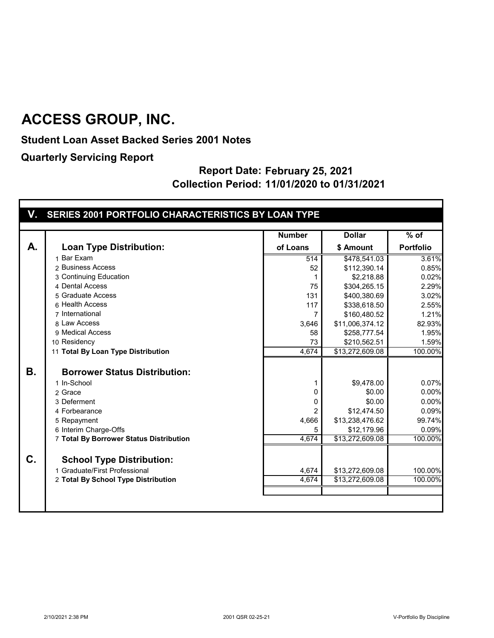**Student Loan Asset Backed Series 2001 Notes**

**Quarterly Servicing Report**

|           |                                         | <b>Number</b>    | <b>Dollar</b>   | $%$ of           |
|-----------|-----------------------------------------|------------------|-----------------|------------------|
| А.        | <b>Loan Type Distribution:</b>          | of Loans         | \$ Amount       | <b>Portfolio</b> |
|           | 1 Bar Exam                              | $\overline{514}$ | \$478,541.03    | 3.61%            |
|           | 2 Business Access                       | 52               | \$112,390.14    | 0.85%            |
|           | 3 Continuing Education                  |                  | \$2,218.88      | 0.02%            |
|           | 4 Dental Access                         | 75               | \$304,265.15    | 2.29%            |
|           | 5 Graduate Access                       | 131              | \$400,380.69    | 3.02%            |
|           | 6 Health Access                         | 117              | \$338,618.50    | 2.55%            |
|           | 7 International                         | 7                | \$160,480.52    | 1.21%            |
|           | 8 Law Access                            | 3,646            | \$11,006,374.12 | 82.93%           |
|           | 9 Medical Access                        | 58               | \$258,777.54    | 1.95%            |
|           | 10 Residency                            | 73               | \$210,562.51    | 1.59%            |
|           | 11 Total By Loan Type Distribution      | 4,674            | \$13,272,609.08 | 100.00%          |
| <b>B.</b> | <b>Borrower Status Distribution:</b>    |                  |                 |                  |
|           | 1 In-School                             |                  | \$9,478.00      | 0.07%            |
|           | 2 Grace                                 | 0                | \$0.00          | 0.00%            |
|           | 3 Deferment                             | 0                | \$0.00          | 0.00%            |
|           | 4 Forbearance                           |                  | \$12,474.50     | 0.09%            |
|           | 5 Repayment                             | 4,666            | \$13,238,476.62 | 99.74%           |
|           | 6 Interim Charge-Offs                   | 5                | \$12,179.96     | 0.09%            |
|           | 7 Total By Borrower Status Distribution | 4,674            | \$13,272,609.08 | 100.00%          |
| C.        |                                         |                  |                 |                  |
|           | <b>School Type Distribution:</b>        |                  |                 |                  |
|           | 1 Graduate/First Professional           | 4,674            | \$13,272,609.08 | 100.00%          |
|           | 2 Total By School Type Distribution     | 4,674            | \$13,272,609.08 | 100.00%          |
|           |                                         |                  |                 |                  |
|           |                                         |                  |                 |                  |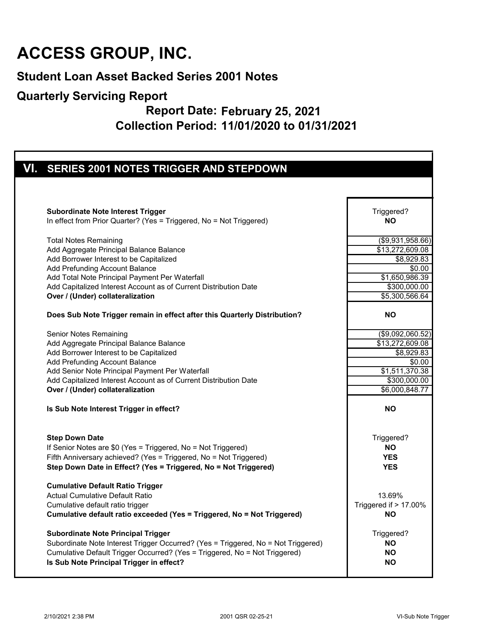#### **Student Loan Asset Backed Series 2001 Notes**

#### **Quarterly Servicing Report**

| VI. SERIES 2001 NOTES TRIGGER AND STEPDOWN                                                                                           |                                    |
|--------------------------------------------------------------------------------------------------------------------------------------|------------------------------------|
|                                                                                                                                      |                                    |
|                                                                                                                                      |                                    |
|                                                                                                                                      |                                    |
| <b>Subordinate Note Interest Trigger</b>                                                                                             | Triggered?                         |
| In effect from Prior Quarter? (Yes = Triggered, No = Not Triggered)                                                                  | <b>NO</b>                          |
| <b>Total Notes Remaining</b>                                                                                                         | (\$9,931,958.66)                   |
| Add Aggregate Principal Balance Balance                                                                                              | \$13,272,609.08                    |
| Add Borrower Interest to be Capitalized                                                                                              | \$8,929.83                         |
| Add Prefunding Account Balance                                                                                                       | \$0.00                             |
| Add Total Note Principal Payment Per Waterfall                                                                                       | $\overline{$1,650,986.39}$         |
| Add Capitalized Interest Account as of Current Distribution Date                                                                     | \$300,000.00                       |
| Over / (Under) collateralization                                                                                                     | \$5,300,566.64                     |
| Does Sub Note Trigger remain in effect after this Quarterly Distribution?                                                            | <b>NO</b>                          |
| Senior Notes Remaining                                                                                                               | (\$9,092,060.52)                   |
| Add Aggregate Principal Balance Balance                                                                                              | \$13,272,609.08                    |
| Add Borrower Interest to be Capitalized                                                                                              | \$8,929.83                         |
| Add Prefunding Account Balance                                                                                                       | \$0.00                             |
| Add Senior Note Principal Payment Per Waterfall                                                                                      | \$1,511,370.38                     |
| Add Capitalized Interest Account as of Current Distribution Date                                                                     | \$300,000.00                       |
| Over / (Under) collateralization                                                                                                     | \$6,000,848.77                     |
| Is Sub Note Interest Trigger in effect?                                                                                              | <b>NO</b>                          |
|                                                                                                                                      |                                    |
| <b>Step Down Date</b>                                                                                                                | Triggered?                         |
| If Senior Notes are \$0 (Yes = Triggered, No = Not Triggered)                                                                        | <b>NO</b>                          |
| Fifth Anniversary achieved? (Yes = Triggered, No = Not Triggered)<br>Step Down Date in Effect? (Yes = Triggered, No = Not Triggered) | <b>YES</b><br><b>YES</b>           |
| <b>Cumulative Default Ratio Trigger</b>                                                                                              |                                    |
| <b>Actual Cumulative Default Ratio</b>                                                                                               | 13.69%                             |
|                                                                                                                                      |                                    |
| Cumulative default ratio trigger<br>Cumulative default ratio exceeded (Yes = Triggered, No = Not Triggered)                          | Triggered if > 17.00%<br><b>NO</b> |
| <b>Subordinate Note Principal Trigger</b>                                                                                            | Triggered?                         |
|                                                                                                                                      |                                    |
| Subordinate Note Interest Trigger Occurred? (Yes = Triggered, No = Not Triggered)                                                    | <b>NO</b>                          |
| Cumulative Default Trigger Occurred? (Yes = Triggered, No = Not Triggered)                                                           | <b>NO</b>                          |
| Is Sub Note Principal Trigger in effect?                                                                                             | <b>NO</b>                          |
|                                                                                                                                      |                                    |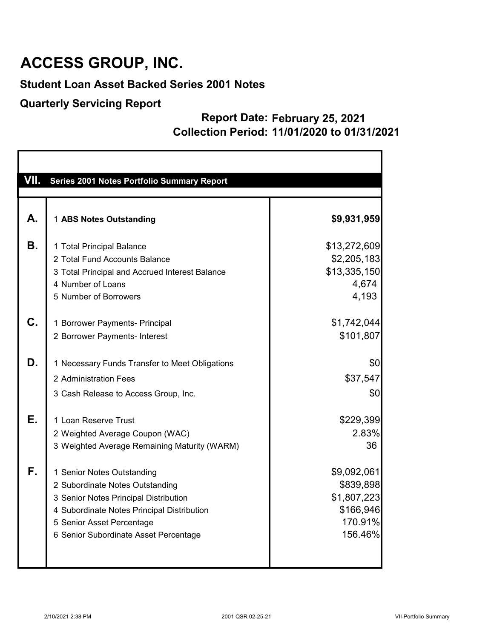### **Student Loan Asset Backed Series 2001 Notes**

#### **Quarterly Servicing Report**

| VII.      | Series 2001 Notes Portfolio Summary Report     |              |
|-----------|------------------------------------------------|--------------|
|           |                                                |              |
| А.        | 1 ABS Notes Outstanding                        | \$9,931,959  |
| <b>B.</b> | 1 Total Principal Balance                      | \$13,272,609 |
|           | 2 Total Fund Accounts Balance                  | \$2,205,183  |
|           | 3 Total Principal and Accrued Interest Balance | \$13,335,150 |
|           | 4 Number of Loans                              | 4,674        |
|           | 5 Number of Borrowers                          | 4,193        |
| C.        | 1 Borrower Payments- Principal                 | \$1,742,044  |
|           | 2 Borrower Payments- Interest                  | \$101,807    |
| D.        | 1 Necessary Funds Transfer to Meet Obligations | \$0          |
|           | 2 Administration Fees                          | \$37,547     |
|           |                                                |              |
|           | 3 Cash Release to Access Group, Inc.           | \$0          |
| Е.        | 1 Loan Reserve Trust                           | \$229,399    |
|           | 2 Weighted Average Coupon (WAC)                | 2.83%        |
|           | 3 Weighted Average Remaining Maturity (WARM)   | 36           |
| F.        | 1 Senior Notes Outstanding                     | \$9,092,061  |
|           | 2 Subordinate Notes Outstanding                | \$839,898    |
|           | 3 Senior Notes Principal Distribution          | \$1,807,223  |
|           | 4 Subordinate Notes Principal Distribution     | \$166,946    |
|           | 5 Senior Asset Percentage                      | 170.91%      |
|           | 6 Senior Subordinate Asset Percentage          | 156.46%      |
|           |                                                |              |
|           |                                                |              |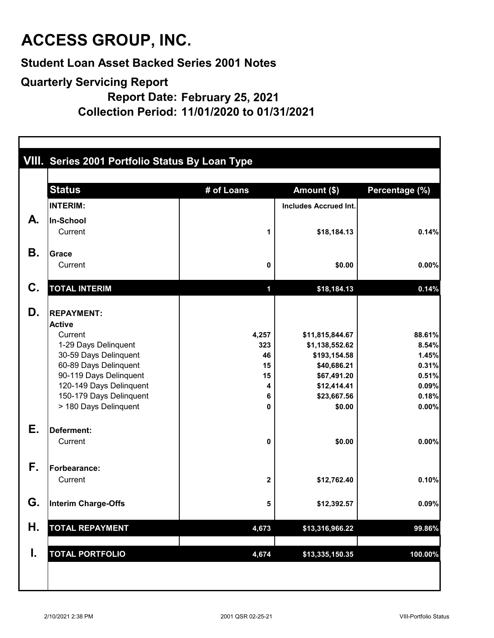**Student Loan Asset Backed Series 2001 Notes**

#### **Quarterly Servicing Report**

**Report Date: February 25, 2021**

**Collection Period: 11/01/2020 to 01/31/2021**

|           | VIII. Series 2001 Portfolio Status By Loan Type |            |                              |                |  |  |
|-----------|-------------------------------------------------|------------|------------------------------|----------------|--|--|
|           | <b>Status</b>                                   | # of Loans | Amount (\$)                  | Percentage (%) |  |  |
|           | <b>INTERIM:</b>                                 |            | <b>Includes Accrued Int.</b> |                |  |  |
| А.        | In-School                                       |            |                              |                |  |  |
|           | Current                                         | 1          | \$18,184.13                  | 0.14%          |  |  |
| <b>B.</b> | Grace                                           |            |                              |                |  |  |
|           | Current                                         | 0          | \$0.00                       | 0.00%          |  |  |
| C.        | <b>TOTAL INTERIM</b>                            | 1          | \$18,184.13                  | 0.14%          |  |  |
| D.        | <b>REPAYMENT:</b>                               |            |                              |                |  |  |
|           | <b>Active</b>                                   |            |                              |                |  |  |
|           | Current                                         | 4,257      | \$11,815,844.67              | 88.61%         |  |  |
|           | 1-29 Days Delinquent                            | 323        | \$1,138,552.62               | 8.54%          |  |  |
|           | 30-59 Days Delinquent<br>60-89 Days Delinquent  | 46<br>15   | \$193,154.58<br>\$40,686.21  | 1.45%<br>0.31% |  |  |
|           | 90-119 Days Delinquent                          | 15         | \$67,491.20                  | 0.51%          |  |  |
|           | 120-149 Days Delinquent                         | 4          | \$12,414.41                  | 0.09%          |  |  |
|           | 150-179 Days Delinquent                         | 6          | \$23,667.56                  | 0.18%          |  |  |
|           | > 180 Days Delinquent                           | 0          | \$0.00                       | 0.00%          |  |  |
| Е.        | Deferment:                                      |            |                              |                |  |  |
|           | Current                                         | 0          | \$0.00                       | 0.00%          |  |  |
| F.        | Forbearance:                                    |            |                              |                |  |  |
|           | Current                                         | 2          | \$12,762.40                  | 0.10%          |  |  |
| G.        | Interim Charge-Offs                             | 5          | \$12,392.57                  | 0.09%          |  |  |
| Η.        | <b>TOTAL REPAYMENT</b>                          | 4,673      | \$13,316,966.22              | 99.86%         |  |  |
| I.        |                                                 |            |                              |                |  |  |
|           | <b>TOTAL PORTFOLIO</b>                          | 4,674      | \$13,335,150.35              | 100.00%        |  |  |
|           |                                                 |            |                              |                |  |  |